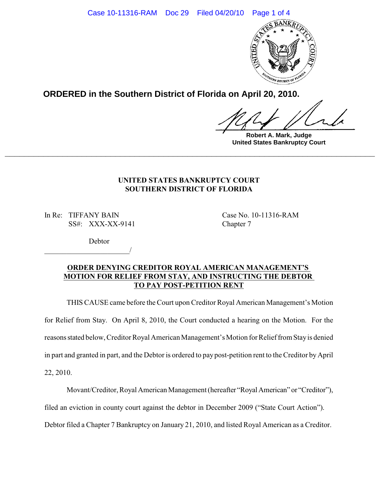

**ORDERED in the Southern District of Florida on April 20, 2010.**

**Robert A. Mark, Judge United States Bankruptcy Court**

## **UNITED STATES BANKRUPTCY COURT SOUTHERN DISTRICT OF FLORIDA**

**\_\_\_\_\_\_\_\_\_\_\_\_\_\_\_\_\_\_\_\_\_\_\_\_\_\_\_\_\_\_\_\_\_\_\_\_\_\_\_\_\_\_\_\_\_\_\_\_\_\_\_\_\_\_\_\_\_\_\_\_\_\_\_\_\_\_\_\_\_\_\_\_\_\_\_\_\_**

In Re: TIFFANY BAIN Case No. 10-11316-RAM SS#: XXX-XX-9141 Chapter 7

\_\_\_\_\_\_\_\_\_\_\_\_\_\_\_\_\_\_\_\_\_\_\_/

**Debtor** 

# **ORDER DENYING CREDITOR ROYAL AMERICAN MANAGEMENT'S MOTION FOR RELIEF FROM STAY, AND INSTRUCTING THE DEBTOR TO PAY POST-PETITION RENT**

THIS CAUSE came before the Court upon Creditor Royal American Management's Motion for Relief from Stay. On April 8, 2010, the Court conducted a hearing on the Motion. For the reasons stated below, Creditor Royal American Management's Motion for Relief from Stay is denied in part and granted in part, and the Debtor is ordered to pay post-petition rent to the Creditor byApril 22, 2010.

Movant/Creditor, Royal American Management (hereafter "Royal American" or "Creditor"),

filed an eviction in county court against the debtor in December 2009 ("State Court Action").

Debtor filed a Chapter 7 Bankruptcy on January 21, 2010, and listed Royal American as a Creditor.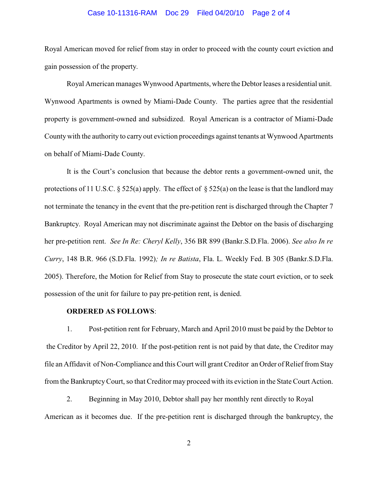### Case 10-11316-RAM Doc 29 Filed 04/20/10 Page 2 of 4

Royal American moved for relief from stay in order to proceed with the county court eviction and gain possession of the property.

Royal American manages Wynwood Apartments, where the Debtor leases a residential unit. Wynwood Apartments is owned by Miami-Dade County. The parties agree that the residential property is government-owned and subsidized. Royal American is a contractor of Miami-Dade Countywith the authority to carry out eviction proceedings against tenants at Wynwood Apartments on behalf of Miami-Dade County.

It is the Court's conclusion that because the debtor rents a government-owned unit, the protections of 11 U.S.C. § 525(a) apply. The effect of § 525(a) on the lease is that the landlord may not terminate the tenancy in the event that the pre-petition rent is discharged through the Chapter 7 Bankruptcy. Royal American may not discriminate against the Debtor on the basis of discharging her pre-petition rent. *See In Re: Cheryl Kelly*, 356 BR 899 (Bankr.S.D.Fla. 2006). *See also In re Curry*, 148 B.R. 966 (S.D.Fla. 1992)*; In re Batista*, Fla. L. Weekly Fed. B 305 (Bankr.S.D.Fla. 2005). Therefore, the Motion for Relief from Stay to prosecute the state court eviction, or to seek possession of the unit for failure to pay pre-petition rent, is denied.

#### **ORDERED AS FOLLOWS**:

1. Post-petition rent for February, March and April 2010 must be paid by the Debtor to the Creditor by April 22, 2010. If the post-petition rent is not paid by that date, the Creditor may file an Affidavit of Non-Compliance and this Court will grant Creditor an Order of Relief from Stay from the BankruptcyCourt, so that Creditor may proceed with its eviction in the State Court Action.

2. Beginning in May 2010, Debtor shall pay her monthly rent directly to Royal American as it becomes due. If the pre-petition rent is discharged through the bankruptcy, the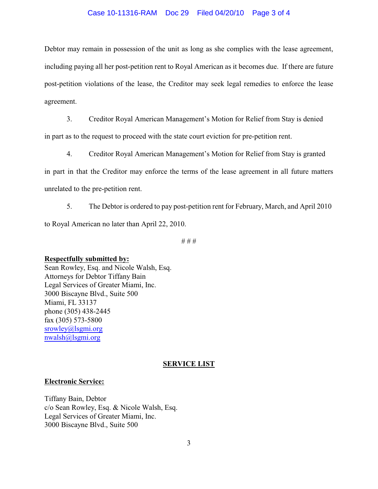### Case 10-11316-RAM Doc 29 Filed 04/20/10 Page 3 of 4

Debtor may remain in possession of the unit as long as she complies with the lease agreement, including paying all her post-petition rent to Royal American as it becomes due. If there are future post-petition violations of the lease, the Creditor may seek legal remedies to enforce the lease agreement.

3. Creditor Royal American Management's Motion for Relief from Stay is denied

in part as to the request to proceed with the state court eviction for pre-petition rent.

4. Creditor Royal American Management's Motion for Relief from Stay is granted

in part in that the Creditor may enforce the terms of the lease agreement in all future matters unrelated to the pre-petition rent.

5. The Debtor is ordered to pay post-petition rent for February, March, and April 2010 to Royal American no later than April 22, 2010.

# # #

#### **Respectfully submitted by:**

Sean Rowley, Esq. and Nicole Walsh, Esq. Attorneys for Debtor Tiffany Bain Legal Services of Greater Miami, Inc. 3000 Biscayne Blvd., Suite 500 Miami, FL 33137 phone (305) 438-2445 fax (305) 573-5800 [srowley@lsgmi.org](mailto:srowley@lsgmi.org) [nwalsh@lsgmi.org](mailto:nwalsh@lsgmi.org)

### **SERVICE LIST**

#### **Electronic Service:**

Tiffany Bain, Debtor c/o Sean Rowley, Esq. & Nicole Walsh, Esq. Legal Services of Greater Miami, Inc. 3000 Biscayne Blvd., Suite 500